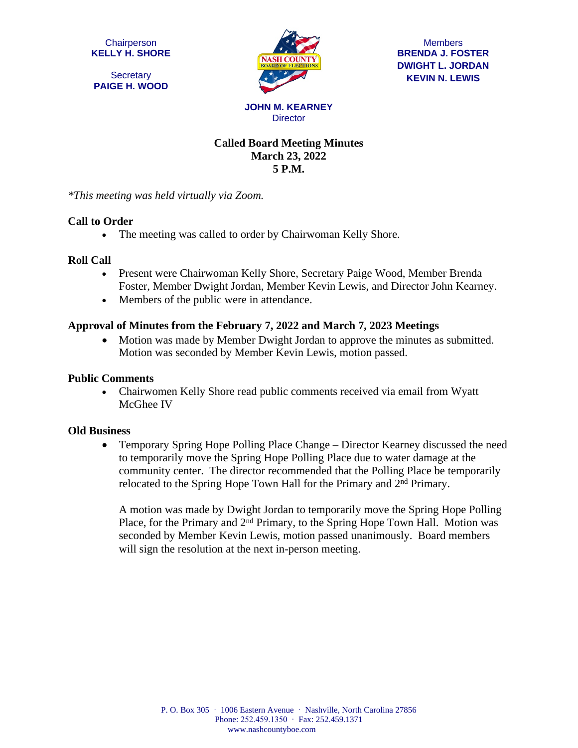**Chairperson KELLY H. SHORE**

**Secretary PAIGE H. WOOD**



**Members BRENDA J. FOSTER DWIGHT L. JORDAN KEVIN N. LEWIS**

# **Called Board Meeting Minutes March 23, 2022**

**Director** 

**5 P.M.**

*\*This meeting was held virtually via Zoom.*

## **Call to Order**

• The meeting was called to order by Chairwoman Kelly Shore.

### **Roll Call**

- Present were Chairwoman Kelly Shore, Secretary Paige Wood, Member Brenda Foster, Member Dwight Jordan, Member Kevin Lewis, and Director John Kearney.
- Members of the public were in attendance.

## **Approval of Minutes from the February 7, 2022 and March 7, 2023 Meetings**

• Motion was made by Member Dwight Jordan to approve the minutes as submitted. Motion was seconded by Member Kevin Lewis, motion passed.

### **Public Comments**

 Chairwomen Kelly Shore read public comments received via email from Wyatt McGhee IV

### **Old Business**

• Temporary Spring Hope Polling Place Change – Director Kearney discussed the need to temporarily move the Spring Hope Polling Place due to water damage at the community center. The director recommended that the Polling Place be temporarily relocated to the Spring Hope Town Hall for the Primary and 2nd Primary.

A motion was made by Dwight Jordan to temporarily move the Spring Hope Polling Place, for the Primary and 2<sup>nd</sup> Primary, to the Spring Hope Town Hall. Motion was seconded by Member Kevin Lewis, motion passed unanimously. Board members will sign the resolution at the next in-person meeting.